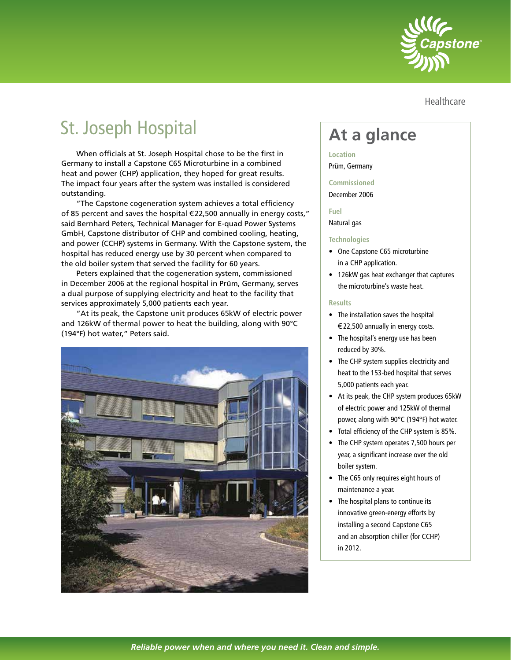

Healthcare

# St. Joseph Hospital

When officials at St. Joseph Hospital chose to be the first in Germany to install a Capstone C65 Microturbine in a combined heat and power (CHP) application, they hoped for great results. The impact four years after the system was installed is considered outstanding.

"The Capstone cogeneration system achieves a total efficiency of 85 percent and saves the hospital €22,500 annually in energy costs," said Bernhard Peters, Technical Manager for E-quad Power Systems GmbH, Capstone distributor of CHP and combined cooling, heating, and power (CCHP) systems in Germany. With the Capstone system, the hospital has reduced energy use by 30 percent when compared to the old boiler system that served the facility for 60 years.

Peters explained that the cogeneration system, commissioned in December 2006 at the regional hospital in Prüm, Germany, serves a dual purpose of supplying electricity and heat to the facility that services approximately 5,000 patients each year.

"At its peak, the Capstone unit produces 65kW of electric power and 126kW of thermal power to heat the building, along with 90°C (194°F) hot water," Peters said.



## **At a glance**

### **Location**

Prüm, Germany

#### **Commissioned**

December 2006

#### **Fuel**

Natural gas

#### **Technologies**

- One Capstone C65 microturbine in a CHP application.
- 126kW gas heat exchanger that captures the microturbine's waste heat.

#### **Results**

- The installation saves the hospital €22,500 annually in energy costs.
- The hospital's energy use has been reduced by 30%.
- The CHP system supplies electricity and heat to the 153-bed hospital that serves 5,000 patients each year.
- At its peak, the CHP system produces 65kW of electric power and 125kW of thermal power, along with 90°C (194°F) hot water.
- Total efficiency of the CHP system is 85%.
- The CHP system operates 7,500 hours per year, a significant increase over the old boiler system.
- The C65 only requires eight hours of maintenance a year.
- The hospital plans to continue its innovative green-energy efforts by installing a second Capstone C65 and an absorption chiller (for CCHP) in 2012.